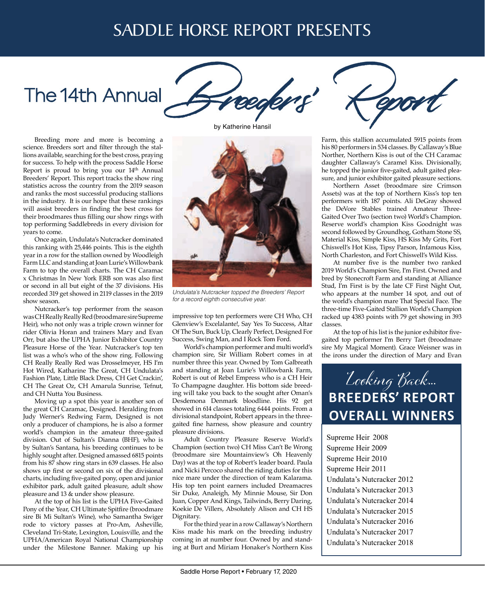## SADDLE HORSE REPORT PRESENTS

# The 14th Annual



Breeding more and more is becoming a science. Breeders sort and filter through the stallions available, searching for the best cross, praying for success. To help with the process Saddle Horse Report is proud to bring you our 14<sup>th</sup> Annual Breeders' Report. This report tracks the show ring statistics across the country from the 2019 season and ranks the most successful producing stallions in the industry. It is our hope that these rankings will assist breeders in finding the best cross for their broodmares thus filling our show rings with top performing Saddlebreds in every division for years to come.

Once again, Undulata's Nutcracker dominated this ranking with 25,446 points. This is the eighth year in a row for the stallion owned by Woodleigh Farm LLC and standing at Joan Lurie's Willowbank Farm to top the overall charts. The CH Caramac x Christmas In New York ERB son was also first or second in all but eight of the 37 divisions. His recorded 319 get showed in 2119 classes in the 2019 show season.

Nutcracker's top performer from the season was CH Really Really Red (broodmare sire Supreme Heir), who not only was a triple crown winner for rider Olivia Horan and trainers Mary and Evan Orr, but also the UPHA Junior Exhibitor Country Pleasure Horse of the Year. Nutcracker's top ten list was a who's who of the show ring. Following CH Really Really Red was Drosselmeyer, HS I'm Hot Wired, Katharine The Great, CH Undulata's Fashion Plate, Little Black Dress, CH Get Crackin', CH The Great Oz, CH Amarula Sunrise, Tefnut, and CH Nutta You Business.

Moving up a spot this year is another son of the great CH Caramac, Designed. Heralding from Judy Werner's Redwing Farm, Designed is not only a producer of champions, he is also a former world's champion in the amateur three-gaited division. Out of Sultan's Dianna (BHF), who is by Sultan's Santana, his breeding continues to be highly sought after. Designed amassed 6815 points from his 87 show ring stars in 639 classes. He also shows up first or second on six of the divisional charts, including five-gaited pony, open and junior exhibitor park, adult gaited pleasure, adult show pleasure and 13 & under show pleasure.

At the top of his list is the UPHA Five-Gaited Pony of the Year, CH Ultimate Spitfire (broodmare sire Bi Mi Sultan's Wine), who Samantha Swiger rode to victory passes at Pro-Am, Asheville, Cleveland Tri-State, Lexington, Louisville, and the UPHA/American Royal National Championship under the Milestone Banner. Making up his

by Katherine Hansil



*Undulata's Nutcracker topped the Breeders' Report for a record eighth consecutive year.*

impressive top ten performers were CH Who, CH Glenview's Excelalante!, Say Yes To Success, Altar Of The Sun, Buck Up, Clearly Perfect, Designed For Success, Swing Man, and I Rock Tom Ford.

World's champion performer and multi world's champion sire, Sir William Robert comes in at number three this year. Owned by Tom Galbreath and standing at Joan Lurie's Willowbank Farm, Robert is out of Rebel Empress who is a CH Heir To Champagne daughter. His bottom side breeding will take you back to the sought after Oman's Desdemona Denmark bloodline. His 92 get showed in 614 classes totaling 6444 points. From a divisional standpoint, Robert appears in the threegaited fine harness, show pleasure and country pleasure divisions.

Adult Country Pleasure Reserve World's Champion (section two) CH Miss Can't Be Wrong (broodmare sire Mountainview's Oh Heavenly Day) was at the top of Robert's leader board. Paula and Nicki Percoco shared the riding duties for this nice mare under the direction of team Kalarama. His top ten point earners included Dreamacres Sir Duke, Analeigh, My Minnie Mouse, Sir Don Juan, Copper And Kings, Tailwinds, Berry Daring, Koekie De Villers, Absolutely Alison and CH HS Dignitary.

For the third year in a row Callaway's Northern Kiss made his mark on the breeding industry coming in at number four. Owned by and standing at Burt and Miriam Honaker's Northern Kiss



Farm, this stallion accumulated 5915 points from his 80 performers in 534 classes. By Callaway's Blue Norther, Northern Kiss is out of the CH Caramac daughter Callaway's Caramel Kiss. Divisionally, he topped the junior five-gaited, adult gaited pleasure, and junior exhibitor gaited pleasure sections.

Northern Asset (broodmare sire Crimson Assets) was at the top of Northern Kiss's top ten performers with 187 points. Ali DeGray showed the DeVore Stables trained Amateur Three-Gaited Over Two (section two) World's Champion. Reserve world's champion Kiss Goodnight was second followed by Groundhog, Gotham Stone SS, Material Kiss, Simple Kiss, HS Kiss My Grits, Fort Chiswell's Hot Kiss, Tipsy Parson, Infamous Kiss, North Charleston, and Fort Chiswell's Wild Kiss.

At number five is the number two ranked 2019 World's Champion Sire, I'm First. Owned and bred by Stonecroft Farm and standing at Alliance Stud, I'm First is by the late CF First Night Out, who appears at the number 14 spot, and out of the world's champion mare That Special Face. The three-time Five-Gaited Stallion World's Champion racked up 4383 points with 79 get showing in 393 classes.

At the top of his list is the junior exhibitor fivegaited top performer I'm Berry Tart (broodmare sire My Magical Moment). Grace Weisner was in the irons under the direction of Mary and Evan



Supreme Heir 2008 Supreme Heir 2009 Supreme Heir 2010 Supreme Heir 2011 Undulata's Nutcracker 2012 Undulata's Nutcracker 2013 Undulata's Nutcracker 2014 Undulata's Nutcracker 2015 Undulata's Nutcracker 2016 Undulata's Nutcracker 2017 Undulata's Nutcracker 2018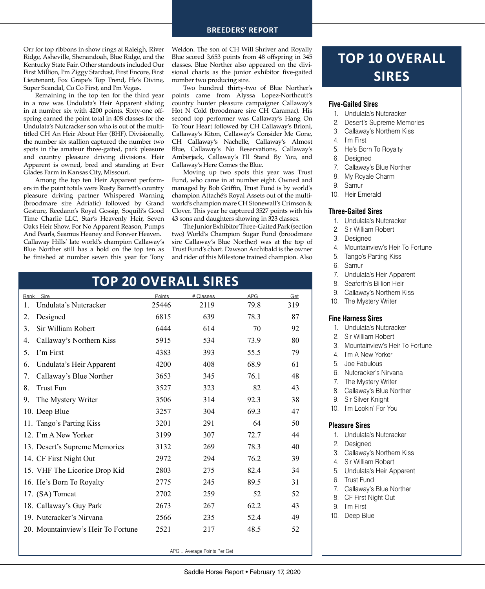#### **BREEDERS' REPORT**

Orr for top ribbons in show rings at Raleigh, River Ridge, Asheville, Shenandoah, Blue Ridge, and the Kentucky State Fair. Other standouts included Our First Million, I'm Ziggy Stardust, First Encore, First Lieutenant, Fox Grape's Top Trend, He's Divine, Super Scandal, Co Co First, and I'm Vegas.

Remaining in the top ten for the third year in a row was Undulata's Heir Apparent sliding in at number six with 4200 points. Sixty-one offspring earned the point total in 408 classes for the Undulata's Nutcracker son who is out of the multititled CH An Heir About Her (BHF). Divisionally, the number six stallion captured the number two spots in the amateur three-gaited, park pleasure and country pleasure driving divisions. Heir Apparent is owned, bred and standing at Ever Glades Farm in Kansas City, Missouri.

Among the top ten Heir Apparent performers in the point totals were Rusty Barrett's country pleasure driving partner Whispered Warning (broodmare sire Adriatic) followed by Grand Gesture, Reedann's Royal Gossip, Soquili's Good Time Charlie LLC, Star's Heavenly Heir, Seven Oaks Heir Show, For No Apparent Reason, Pumps And Pearls, Seamus Heaney and Forever Heaven. Callaway Hills' late world's champion Callaway's Blue Norther still has a hold on the top ten as he finished at number seven this year for Tony

Weldon. The son of CH Will Shriver and Royally Blue scored 3,653 points from 48 offspring in 345 classes. Blue Norther also appeared on the divisional charts as the junior exhibitor five-gaited number two producing sire.

Two hundred thirty-two of Blue Norther's points came from Alyssa Lopez-Northcutt's country hunter pleasure campaigner Callaway's Hot N Cold (broodmare sire CH Caramac). His second top performer was Callaway's Hang On To Your Heart followed by CH Callaway's Brioni, Callaway's Kiton, Callaway's Consider Me Gone, CH Callaway's Nachelle, Callaway's Almost Blue, Callaway's No Reservations, Callaway's Amberjack, Callaway's I'll Stand By You, and Callaway's Here Comes the Blue.

Moving up two spots this year was Trust Fund, who came in at number eight. Owned and managed by Bob Griffin, Trust Fund is by world's champion Attaché's Royal Assets out of the multiworld's champion mare CH Stonewall's Crimson & Clover. This year he captured 3527 points with his 43 sons and daughters showing in 323 classes.

The Junior Exhibitor Three-Gaited Park (section two) World's Champion Sugar Fund (broodmare sire Callaway's Blue Norther) was at the top of Trust Fund's chart. Dawson Archibald is the owner and rider of this Milestone trained champion. Also

| UP ZU UVERALL SIRES                |        |           |            |     |
|------------------------------------|--------|-----------|------------|-----|
| Sire<br>Rank                       | Points | # Classes | <b>APG</b> | Get |
| Undulata's Nutcracker<br>1.        | 25446  | 2119      | 79.8       | 319 |
| Designed<br>2.                     | 6815   | 639       | 78.3       | 87  |
| Sir William Robert<br>3.           | 6444   | 614       | 70         | 92  |
| Callaway's Northern Kiss<br>4.     | 5915   | 534       | 73.9       | 80  |
| I'm First<br>5.                    | 4383   | 393       | 55.5       | 79  |
| Undulata's Heir Apparent<br>6.     | 4200   | 408       | 68.9       | 61  |
| Callaway's Blue Norther<br>7.      | 3653   | 345       | 76.1       | 48  |
| <b>Trust Fun</b><br>8.             | 3527   | 323       | 82         | 43  |
| The Mystery Writer<br>9.           | 3506   | 314       | 92.3       | 38  |
| 10. Deep Blue                      | 3257   | 304       | 69.3       | 47  |
| 11. Tango's Parting Kiss           | 3201   | 291       | 64         | 50  |
| 12. I'm A New Yorker               | 3199   | 307       | 72.7       | 44  |
| 13. Desert's Supreme Memories      | 3132   | 269       | 78.3       | 40  |
| 14. CF First Night Out             | 2972   | 294       | 76.2       | 39  |
| 15. VHF The Licorice Drop Kid      | 2803   | 275       | 82.4       | 34  |
| 16. He's Born To Royalty           | 2775   | 245       | 89.5       | 31  |
| 17. (SA) Tomcat                    | 2702   | 259       | 52         | 52  |
| 18. Callaway's Guy Park            | 2673   | 267       | 62.2       | 43  |
| 19. Nutcracker's Nirvana           | 2566   | 235       | 52.4       | 49  |
| 20. Mountainview's Heir To Fortune | 2521   | 217       | 48.5       | 52  |
|                                    |        |           |            |     |

### **TOP 20 OVERALL SIRES**

### **TOP 10 OVERALL SIRES**

#### **Five-Gaited Sires**

- 1. Undulata's Nutcracker
- 2. Desert's Supreme Memories
- 3. Callaway's Northern Kiss
- 4. I'm First
- 5. He's Born To Royalty
- 6. Designed
- 7. Callaway's Blue Norther
- 8. My Royale Charm
- 9. Samur
- 10. Heir Emerald

#### **Three-Gaited Sires**

- 1. Undulata's Nutcracker
- 2. Sir William Robert
- 3. Designed
- 4. Mountainview's Heir To Fortune
- 5. Tango's Parting Kiss
- 6. Samur
- 7. Undulata's Heir Apparent
- 8. Seaforth's Billion Heir
- 9. Callaway's Northern Kiss
- 10. The Mystery Writer

#### **Fine Harness Sires**

- 1. Undulata's Nutcracker
- 2. Sir William Robert
- 3. Mountainview's Heir To Fortune
- 4. I'm A New Yorker
- 5. Joe Fabulous
- 6. Nutcracker's Nirvana
- 7. The Mystery Writer
- 8. Callaway's Blue Norther
- 9. Sir Silver Knight
- 10. I'm Lookin' For You

#### **Pleasure Sires**

- 1. Undulata's Nutcracker
- 2. Designed
- 3. Callaway's Northern Kiss
- 4. Sir William Robert
- 5. Undulata's Heir Apparent
- 6. Trust Fund
- 7. Callaway's Blue Norther
- 8. CF First Night Out
- 9. I'm First
- 10. Deep Blue

APG = Average Points Per Get